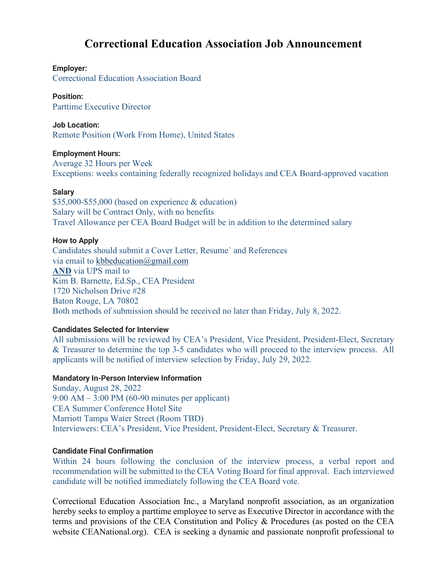# **Correctional Education Association Job Announcement**

# **Employer:**

Correctional Education Association Board

# **Position:**

Parttime Executive Director

### **Job Location:**

Remote Position (Work From Home), United States

#### **Employment Hours:**

Average 32 Hours per Week Exceptions: weeks containing federally recognized holidays and CEA Board-approved vacation

#### **Salary**

\$35,000-\$55,000 (based on experience & education) Salary will be Contract Only, with no benefits Travel Allowance per CEA Board Budget will be in addition to the determined salary

#### **How to Apply**

Candidates should submit a Cover Letter, Resume` and References via email to [kbbeducation@gmail.com](mailto:kbbeducation@gmail.com) **AND** via UPS mail to Kim B. Barnette, Ed.Sp., CEA President 1720 Nicholson Drive #28 Baton Rouge, LA 70802 Both methods of submission should be received no later than Friday, July 8, 2022.

# **Candidates Selected for Interview**

All submissions will be reviewed by CEA's President, Vice President, President-Elect, Secretary & Treasurer to determine the top 3-5 candidates who will proceed to the interview process. All applicants will be notified of interview selection by Friday, July 29, 2022.

#### **Mandatory In-Person Interview Information**

Sunday, August 28, 2022 9:00 AM – 3:00 PM (60-90 minutes per applicant) CEA Summer Conference Hotel Site Marriott Tampa Water Street (Room TBD) Interviewers: CEA's President, Vice President, President-Elect, Secretary & Treasurer.

# **Candidate Final Confirmation**

Within 24 hours following the conclusion of the interview process, a verbal report and recommendation will be submitted to the CEA Voting Board for final approval. Each interviewed candidate will be notified immediately following the CEA Board vote.

Correctional Education Association Inc., a Maryland nonprofit association, as an organization hereby seeks to employ a parttime employee to serve as Executive Director in accordance with the terms and provisions of the CEA Constitution and Policy & Procedures (as posted on the CEA website CEANational.org). CEA is seeking a dynamic and passionate nonprofit professional to